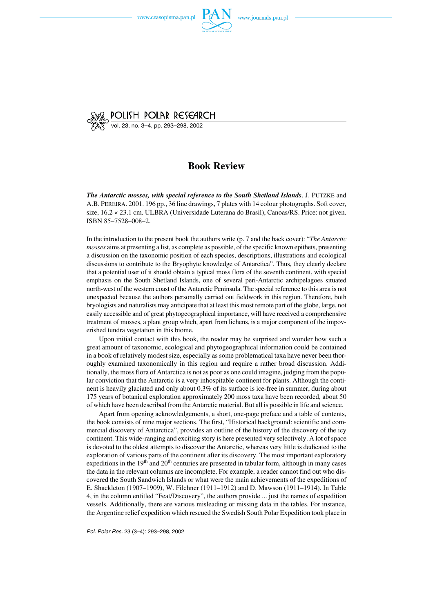

**POLISH POLAR RESEARCH**<br>vol. 23, no. 3–4, pp. 293–298, 2002

## **Book Review**

*The Antarctic mosses, with special reference to the South Shetland Islands*. J. PUTZKE and A.B. PEREIRA. 2001. 196 pp., 36 line drawings, 7 plates with 14 colour photographs. Soft cover, size, 16.2 × 23.1 cm. ULBRA (Universidade Luterana do Brasil), Canoas/RS. Price: not given. ISBN 85–7528–008–2.

In the introduction to the present book the authors write (p. 7 and the back cover): "*The Antarctic mosses* aims at presenting a list, as complete as possible, of the specific known epithets, presenting a discussion on the taxonomic position of each species, descriptions, illustrations and ecological discussions to contribute to the Bryophyte knowledge of Antarctica". Thus, they clearly declare that a potential user of it should obtain a typical moss flora of the seventh continent, with special emphasis on the South Shetland Islands, one of several peri−Antarctic archipelagoes situated north−west of the western coast of the Antarctic Peninsula. The special reference to this area is not unexpected because the authors personally carried out fieldwork in this region. Therefore, both bryologists and naturalists may anticipate that at least this most remote part of the globe, large, not easily accessible and of great phytogeographical importance, will have received a comprehensive treatment of mosses, a plant group which, apart from lichens, is a major component of the impov− erished tundra vegetation in this biome.

Upon initial contact with this book, the reader may be surprised and wonder how such a great amount of taxonomic, ecological and phytogeographical information could be contained in a book of relatively modest size, especially as some problematical taxa have never been thor− oughly examined taxonomically in this region and require a rather broad discussion. Addi− tionally, the moss flora of Antarctica is not as poor as one could imagine, judging from the popu− lar conviction that the Antarctic is a very inhospitable continent for plants. Although the conti− nent is heavily glaciated and only about 0.3% of its surface is ice-free in summer, during about 175 years of botanical exploration approximately 200 moss taxa have been recorded, about 50 of which have been described from the Antarctic material. But all is possible in life and science.

Apart from opening acknowledgements, a short, one−page preface and a table of contents, the book consists of nine major sections. The first, "Historical background: scientific and com− mercial discovery of Antarctica", provides an outline of the history of the discovery of the icy continent. This wide−ranging and exciting story is here presented very selectively. A lot of space is devoted to the oldest attempts to discover the Antarctic, whereas very little is dedicated to the exploration of various parts of the continent after its discovery. The most important exploratory expeditions in the  $19<sup>th</sup>$  and  $20<sup>th</sup>$  centuries are presented in tabular form, although in many cases the data in the relevant columns are incomplete. For example, a reader cannot find out who dis− covered the South Sandwich Islands or what were the main achievements of the expeditions of E. Shackleton (1907–1909), W. Filchner (1911–1912) and D. Mawson (1911–1914). In Table 4, in the column entitled "Feat/Discovery", the authors provide ... just the names of expedition vessels. Additionally, there are various misleading or missing data in the tables. For instance, the Argentine relief expedition which rescued the Swedish South Polar Expedition took place in

*Pol. Polar Res.* 23 (3–4): 293–298, 2002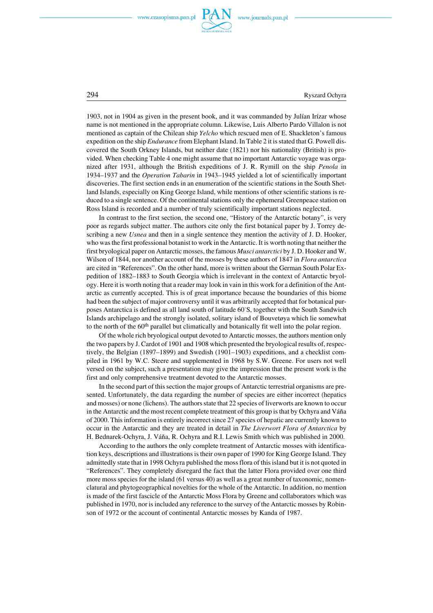

294 Ryszard Ochyra

1903, notin 1904 as given in the presentbook, and itwas commanded by Julían Irízar whose name is not mentioned in the appropriate column. Likewise, Luis Alberto Pardo Villalon is not mentioned as captain of the Chilean ship *Yelcho* which rescued men of E. Shackleton's famous expedition on the ship *Endurance* from Elephant Island. In Table 2 it is stated that G. Powell dis− covered the South Orkney Islands, but neither date (1821) nor his nationality (British) is pro− vided. When checking Table 4 one might assume that no important Antarctic voyage was orga− nized after 1931, although the British expeditions of J. R. Rymill on the ship *Penola* in 1934–1937 and the *Operation Tabarin* in 1943–1945 yielded a lot of scientifically important discoveries. The first section ends in an enumeration of the scientific stations in the South Shet− land Islands, especially on King George Island, while mentions of other scientific stations is re− duced to a single sentence. Of the continental stations only the ephemeral Greenpeace station on Ross Island is recorded and a number of truly scientifically important stations neglected.

In contrast to the first section, the second one, "History of the Antarctic botany", is very poor as regards subject matter. The authors cite only the first botanical paper by J. Torrey de− scribing a new *Usnea* and then in a single sentence they mention the activity of J. D. Hooker, who was the first professional botanist to work in the Antarctic. It is worth noting that neither the first bryological paper on Antarctic mosses, the famous *Musci antarctici* by J. D. Hooker and W. Wilson of 1844, nor another account of the mosses by these authors of 1847 in *Flora antarctica* are cited in "References". On the other hand, more is written about the German South Polar Ex− pedition of 1882–1883 to South Georgia which is irrelevant in the context of Antarctic bryol− ogy. Here it is worth noting that a reader may look in vain in this work for a definition of the Ant− arctic as currently accepted. This is of great importance because the boundaries of this biome had been the subject of major controversy until it was arbitrarily accepted that for botanical pur− poses Antarctica is defined as all land south of latitude 60°S, together with the South Sandwich Islands archipelago and the strongly isolated, solitary island of Bouvetøya which lie somewhat to the north of the 60<sup>th</sup> parallel but climatically and botanically fit well into the polar region.

Of the whole rich bryological output devoted to Antarctic mosses, the authors mention only the two papers by J. Cardot of 1901 and 1908 which presented the bryological results of, respec− tively, the Belgian (1897–1899) and Swedish (1901–1903) expeditions, and a checklist com− piled in 1961 by W.C. Steere and supplemented in 1968 by S.W. Greene. For users not well versed on the subject, such a presentation may give the impression that the present work is the first and only comprehensive treatment devoted to the Antarctic mosses.

In the second part of this section the major groups of Antarctic terrestrial organisms are pre− sented. Unfortunately, the data regarding the number of species are either incorrect (hepatics and mosses) or none (lichens). The authors state that 22 species of liverworts are known to occur in the Antarctic and the most recent complete treatment of this group is that by Ochyra and Váňa of 2000. This information is entirely incorrect since 27 species of hepatic are currently known to occur in the Antarctic and they are treated in detail in *The Liverwort Flora of Antarctica* by H. Bednarek−Ochyra, J. Váňa, R. Ochyra and R.I. Lewis Smith which was published in 2000.

According to the authors the only complete treatment of Antarctic mosses with identifica− tion keys, descriptions and illustrations is their own paper of 1990 for King George Island. They admittedly state that in 1998 Ochyra published the moss flora of this island but it is not quoted in "References". They completely disregard the fact that the latter Flora provided over one third more moss species for the island (61 versus 40) as well as a great number of taxonomic, nomen− clatural and phytogeographical novelties for the whole of the Antarctic. In addition, no mention is made of the first fascicle of the Antarctic Moss Flora by Greene and collaborators which was published in 1970, nor is included any reference to the survey of the Antarctic mosses by Robin− son of 1972 or the account of continental Antarctic mosses by Kanda of 1987.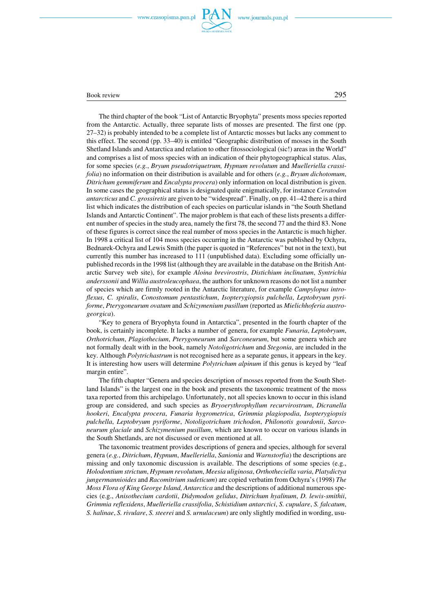

## Book review 295

The third chapter of the book "List of Antarctic Bryophyta" presents moss species reported from the Antarctic. Actually, three separate lists of mosses are presented. The first one (pp. 27–32) is probably intended to be a complete list of Antarctic mosses but lacks any comment to this effect. The second (pp. 33–40) is entitled "Geographic distribution of mosses in the South Shetland Islands and Antarctica and relation to other fitossociological (sic!) areas in the World" and comprises a list of moss species with an indication of their phytogeographical status. Alas, for some species (*e.g.*, *Bryum pseudotriquetrum, Hypnum revolutum* and *Muelleriella crassi− folia*) no information on their distribution is available and for others (*e.g.*, *Bryum dichotomum*, *Ditrichum gemmiferum* and *Encalypta procera*) only information on local distribution is given. In some cases the geographical status is designated quite enigmatically, for instance *Ceratodon antarcticus* and *C. grossiretis* are given to be "widespread". Finally, on pp. 41–42 there is a third list which indicates the distribution of each species on particular islands in "the South Shetland Islands and Antarctic Continent". The major problem is that each of these lists presents a differ− ent number of species in the study area, namely the first 78, the second 77 and the third 83. None of these figures is correct since the real number of moss species in the Antarctic is much higher. In 1998 a critical list of 104 moss species occurring in the Antarctic was published by Ochyra, Bednarek−Ochyra and Lewis Smith (the paper is quoted in "References" but not in the text), but currently this number has increased to 111 (unpublished data). Excluding some officially un− published records in the 1998 list (although they are available in the database on the British Ant− arctic Survey web site), for example *Aloina brevirostris*, *Distichium inclinatum*, *Syntrichia anderssonii* and *Willia austroleucophaea*, the authors for unknown reasons do not list a number of species which are firmly rooted in the Antarctic literature, for example *Campylopus intro− flexus*, *C. spiralis*, *Conostomum pentastichum*, *Isopterygiopsis pulchella*, *Leptobryum pyri− forme*, *Pterygoneurum ovatum* and *Schizymenium pusillum* (reported as *Mielichhoferia austro− georgica*).

"Key to genera of Bryophyta found in Antarctica", presented in the fourth chapter of the book, is certainly incomplete. It lacks a number of genera, for example *Funaria*, *Leptobryum*, *Orthotrichum*, *Plagiothecium*, *Pterygoneurum* and *Sarconeurum*, butsome genera which are not formally dealt with in the book, namely *Notoligotrichum* and *Stegonia*, are included in the key. Although *Polytrichastrum* is notrecognised here as a separate genus, itappears in the key. It is interesting how users will determine *Polytrichum alpinum* if this genus is keyed by "leaf margin entire".

The fifth chapter "Genera and species description of mosses reported from the South Shet− land Islands" is the largest one in the book and presents the taxonomic treatment of the moss taxa reported from this archipelago. Unfortunately, not all species known to occur in this island group are considered, and such species as *Bryoerythrophyllum recurvirostrum*, *Dicranella hookeri*, *Encalypta procera*, *Funaria hygrometrica*, *Grimmia plagiopodia*, *Isopterygiopsis pulchella*, *Leptobryum pyriforme*, *Notoligotrichum trichodon*, *Philonotis gourdonii*, *Sarco− neurum glaciale* and *Schizymenium pusillum*, which are known to occur on various islands in the South Shetlands, are not discussed or even mentioned at all.

The taxonomic treatment provides descriptions of genera and species, although for several genera (*e.g.*, *Ditrichum*, *Hypnum*, *Muelleriella*, *Sanionia* and *Warnstorfia*) the descriptions are missing and only taxonomic discussion is available. The descriptions of some species (e.g., *Holodontium strictum*, *Hypnum revolutum*, *Meesia uliginosa*, *Orthotheciella varia*, *Platydictya jungermannioides* and *Racomitrium sudeticum*) are copied verbatim from Ochyra's (1998) *The Moss Flora of King George Island, Antarctica* and the descriptions of additional numerous spe– cies (e.g., *Anisothecium cardotii*, *Didymodon gelidus*, *Ditrichum hyalinum*, *D. lewis−smithii*, *Grimmia reflexidens*, *Muelleriella crassifolia*, *Schistidium antarctici*, *S. cupulare*, *S. falcatum*, *S. halinae*, *S. rivulare*, *S. steerei* and *S. urnulaceum*) are only slightly modified in wording, usu−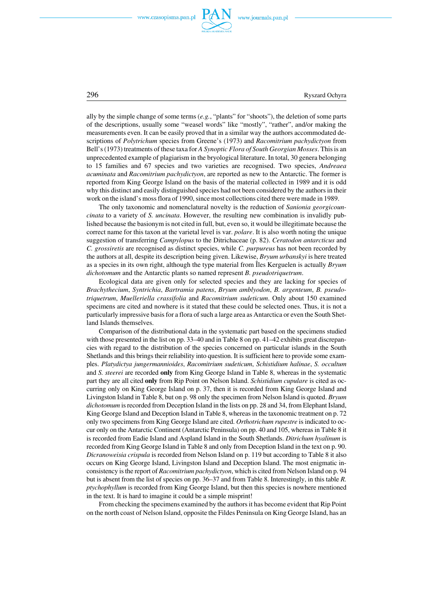



296 Ryszard Ochyra

ally by the simple change of some terms (*e.g.*, "plants" for "shoots"), the deletion of some parts of the descriptions, usually some "weasel words" like "mostly", "rather", and/or making the measurements even. It can be easily proved that in a similar way the authors accommodated de− scriptions of *Polytrichum* species from Greene's (1973) and *Racomitrium pachydictyon* from Bell's (1973) treatments of these taxa for *A Synoptic Flora of South Georgian Mosses*. This is an unprecedented example of plagiarism in the bryological literature. In total, 30 genera belonging to 15 families and 67 species and two varieties are recognised. Two species, *Andreaea acuminata* and *Racomitrium pachydictyon*, are reported as new to the Antarctic. The former is reported from King George Island on the basis of the material collected in 1989 and it is odd why this distinct and easily distinguished species had not been considered by the authors in their work on the island's moss flora of 1990, since most collections cited there were made in 1989.

The only taxonomic and nomenclatural novelty is the reduction of *Sanionia georgicoun− cinata* to a variety of *S. uncinata*. However, the resulting new combination is invalidly pub− lished because the basionym is not cited in full, but, even so, it would be illegitimate because the correct name for this taxon at the varietal level is var. *polare*. It is also worth noting the unique suggestion of transferring *Campylopus* to the Ditrichaceae (p. 82). *Ceratodon antarcticus* and *C. grossiretis* are recognised as distinct species, while *C. purpureus* has notbeen recorded by the authors at all, despite its description being given. Likewise, *Bryum urbanskyi* is here treated as a species in its own right, although the type material from Îles Kerguelen is actually *Bryum dichotomum* and the Antarctic plants so named represent *B. pseudotriquetrum*.

Ecological data are given only for selected species and they are lacking for species of *Brachythecium*, *Syntrichia*, *Bartramia patens*, *Bryum amblyodon*, *B. argenteum*, *B. pseudo− triquetrum, Muelleriella crassifolia* and *Racomitrium sudeticum*. Only about 150 examined specimens are cited and nowhere is it stated that these could be selected ones. Thus, it is not a particularly impressive basis for a flora of such a large area as Antarctica or even the South Shet− land Islands themselves.

Comparison of the distributional data in the systematic part based on the specimens studied with those presented in the list on pp. 33–40 and in Table 8 on pp. 41–42 exhibits great discrepan− cies with regard to the distribution of the species concerned on particular islands in the South Shetlands and this brings their reliability into question. It is sufficient here to provide some exam− ples. *Platydictya jungermannioides*, *Racomitrium sudeticum*, *Schistidium halinae*, *S. occultum* and *S. steerei* are recorded **only** from King George Island in Table 8, whereas in the systematic part they are all cited **only** from Rip Pointon Nelson Island. *Schistidium cupulare* is cited as oc− curring only on King George Island on p. 37, then it is recorded from King George Island and Livingston Island in Table 8, but on p. 98 only the specimen from Nelson Island is quoted. *Bryum dichotomum* is recorded from Deception Island in the lists on pp. 28 and 34, from Elephant Island, King George Island and Deception Island in Table 8, whereas in the taxonomic treatment on p. 72 only two specimens from King George Island are cited. *Orthotrichum rupestre* is indicated to oc− cur only on the Antarctic Continent (Antarctic Peninsula) on pp. 40 and 105, whereas in Table 8 it is recorded from Eadie Island and Aspland Island in the South Shetlands. *Ditrichum hyalinum* is recorded from King George Island in Table 8 and only from Deception Island in the text on p. 90. *Dicranoweisia crispula* is recorded from Nelson Island on p. 119 but according to Table 8 it also occurs on King George Island, Livingston Island and Deception Island. The most enigmatic in− consistency is the report of *Racomitrium pachydictyon*, which is cited from Nelson Island on p. 94 but is absent from the list of species on pp. 36–37 and from Table 8. Interestingly, in this table *R. ptychophyllum* is recorded from King George Island, but then this species is nowhere mentioned in the text. It is hard to imagine it could be a simple misprint!

From checking the specimens examined by the authors it has become evident that Rip Point on the north coast of Nelson Island, opposite the Fildes Peninsula on King George Island, has an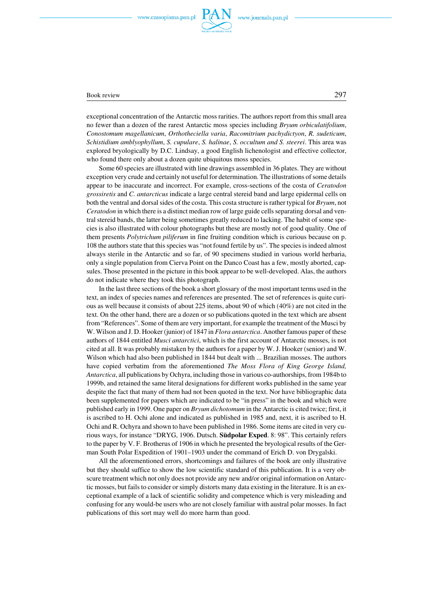

## Book review 297

exceptional concentration of the Antarctic moss rarities. The authors report from this small area no fewer than a dozen of the rarest Antarctic moss species including *Bryum orbiculatifolium*, *Conostomum magellanicum*, *Orthotheciella varia*, *Racomitrium pachydictyon*, *R. sudeticum*, *Schistidium amblyophyllum*, *S. cupulare*, *S. halinae*, *S. occultum and S. steerei*. This area was explored bryologically by D.C. Lindsay, a good English lichenologist and effective collector, who found there only about a dozen quite ubiquitous moss species.

Some 60 species are illustrated with line drawings assembled in 36 plates. They are without exception very crude and certainly not useful for determination. The illustrations of some details appear to be inaccurate and incorrect. For example, cross−sections of the costa of *Ceratodon grossiretis* and *C. antarcticus* indicate a large central stereid band and large epidermal cells on both the ventral and dorsal sides of the costa. This costa structure is rather typical for *Bryum*, not *Ceratodon* in which there is a distinct median row of large guide cells separating dorsal and ven− tral stereid bands, the latter being sometimes greatly reduced to lacking. The habit of some spe− cies is also illustrated with colour photographs but these are mostly not of good quality. One of them presents *Polytrichum piliferum* in fine fruiting condition which is curious because on p. 108 the authors state that this species was "not found fertile by us". The species is indeed almost always sterile in the Antarctic and so far, of 90 specimens studied in various world herbaria, only a single population from Cierva Point on the Danco Coast has a few, mostly aborted, cap− sules. Those presented in the picture in this book appear to be well−developed. Alas, the authors do not indicate where they took this photograph.

In the last three sections of the book a short glossary of the most important terms used in the text, an index of species names and references are presented. The set of references is quite curi− ous as well because it consists of about 225 items, about 90 of which (40%) are not cited in the text. On the other hand, there are a dozen or so publications quoted in the text which are absent from "References". Some of them are very important, for example the treatment of the Musci by W. Wilson and J. D. Hooker (junior) of 1847 in *Flora antarctica*. Another famous paper of these authors of 1844 entitled *Musci antarctici*, which is the first account of Antarctic mosses, is not cited at all. It was probably mistaken by the authors for a paper by W. J. Hooker (senior) and W. Wilson which had also been published in 1844 but dealt with ... Brazilian mosses. The authors have copied verbatim from the aforementioned *The Moss Flora of King George Island, Antarctica*, all publications by Ochyra, including those in various co−authorships, from 1984b to 1999b, and retained the same literal designations for different works published in the same year despite the fact that many of them had not been quoted in the text. Nor have bibliographic data been supplemented for papers which are indicated to be "in press" in the book and which were published early in 1999. One paper on *Bryum dichotomum* in the Antarctic is cited twice; first, it is ascribed to H. Ochi alone and indicated as published in 1985 and, next, it is ascribed to H. Ochi and R. Ochyra and shown to have been published in 1986. Some items are cited in very cu− rious ways, for instance "DRYG, 1906. Dutsch. **Südpolar Exped**. 8: 98". This certainly refers to the paper by V. F. Brotherus of 1906 in which he presented the bryological results of the Ger− man South Polar Expedition of 1901–1903 under the command of Erich D. von Drygalski.

All the aforementioned errors, shortcomings and failures of the book are only illustrative but they should suffice to show the low scientific standard of this publication. It is a very ob− scure treatment which not only does not provide any new and/or original information on Antarc− tic mosses, but fails to consider or simply distorts many data existing in the literature. It is an ex− ceptional example of a lack of scientific solidity and competence which is very misleading and confusing for any would−be users who are not closely familiar with austral polar mosses. In fact publications of this sort may well do more harm than good.